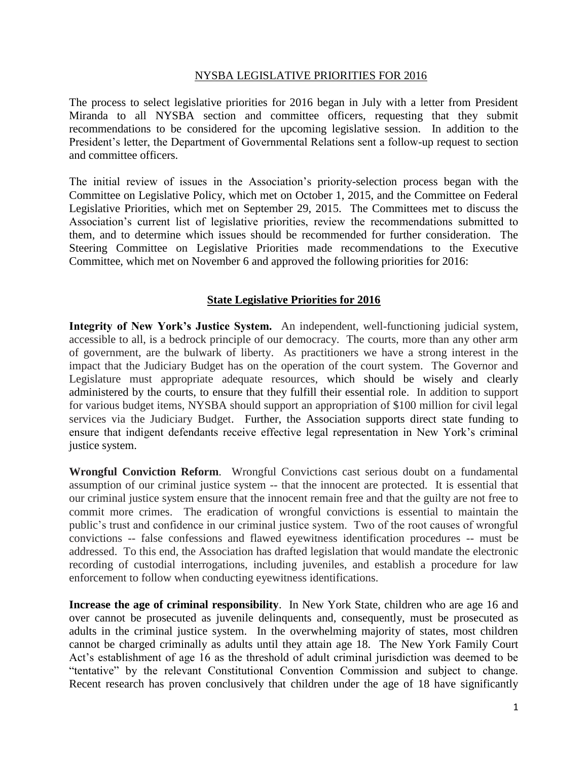## NYSBA LEGISLATIVE PRIORITIES FOR 2016

The process to select legislative priorities for 2016 began in July with a letter from President Miranda to all NYSBA section and committee officers, requesting that they submit recommendations to be considered for the upcoming legislative session. In addition to the President's letter, the Department of Governmental Relations sent a follow-up request to section and committee officers.

The initial review of issues in the Association's priority-selection process began with the Committee on Legislative Policy, which met on October 1, 2015, and the Committee on Federal Legislative Priorities, which met on September 29, 2015. The Committees met to discuss the Association's current list of legislative priorities, review the recommendations submitted to them, and to determine which issues should be recommended for further consideration. The Steering Committee on Legislative Priorities made recommendations to the Executive Committee, which met on November 6 and approved the following priorities for 2016:

## **State Legislative Priorities for 2016**

**Integrity of New York's Justice System.** An independent, well-functioning judicial system, accessible to all, is a bedrock principle of our democracy. The courts, more than any other arm of government, are the bulwark of liberty. As practitioners we have a strong interest in the impact that the Judiciary Budget has on the operation of the court system. The Governor and Legislature must appropriate adequate resources, which should be wisely and clearly administered by the courts, to ensure that they fulfill their essential role. In addition to support for various budget items, NYSBA should support an appropriation of \$100 million for civil legal services via the Judiciary Budget. Further, the Association supports direct state funding to ensure that indigent defendants receive effective legal representation in New York's criminal justice system.

**Wrongful Conviction Reform**. Wrongful Convictions cast serious doubt on a fundamental assumption of our criminal justice system -- that the innocent are protected. It is essential that our criminal justice system ensure that the innocent remain free and that the guilty are not free to commit more crimes. The eradication of wrongful convictions is essential to maintain the public's trust and confidence in our criminal justice system. Two of the root causes of wrongful convictions -- false confessions and flawed eyewitness identification procedures -- must be addressed. To this end, the Association has drafted legislation that would mandate the electronic recording of custodial interrogations, including juveniles, and establish a procedure for law enforcement to follow when conducting eyewitness identifications.

**Increase the age of criminal responsibility**. In New York State, children who are age 16 and over cannot be prosecuted as juvenile delinquents and, consequently, must be prosecuted as adults in the criminal justice system. In the overwhelming majority of states, most children cannot be charged criminally as adults until they attain age 18. The New York Family Court Act's establishment of age 16 as the threshold of adult criminal jurisdiction was deemed to be "tentative" by the relevant Constitutional Convention Commission and subject to change. Recent research has proven conclusively that children under the age of 18 have significantly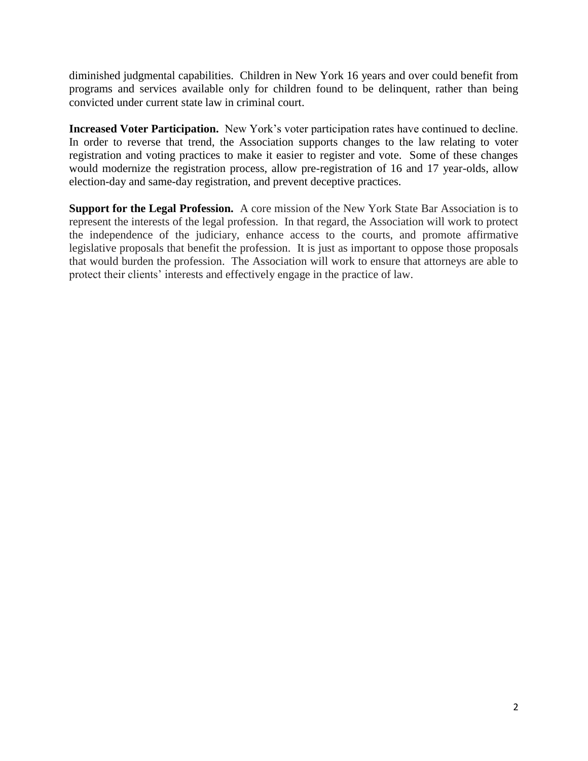diminished judgmental capabilities. Children in New York 16 years and over could benefit from programs and services available only for children found to be delinquent, rather than being convicted under current state law in criminal court.

**Increased Voter Participation.** New York's voter participation rates have continued to decline. In order to reverse that trend, the Association supports changes to the law relating to voter registration and voting practices to make it easier to register and vote. Some of these changes would modernize the registration process, allow pre-registration of 16 and 17 year-olds, allow election-day and same-day registration, and prevent deceptive practices.

**Support for the Legal Profession.** A core mission of the New York State Bar Association is to represent the interests of the legal profession. In that regard, the Association will work to protect the independence of the judiciary, enhance access to the courts, and promote affirmative legislative proposals that benefit the profession. It is just as important to oppose those proposals that would burden the profession. The Association will work to ensure that attorneys are able to protect their clients' interests and effectively engage in the practice of law.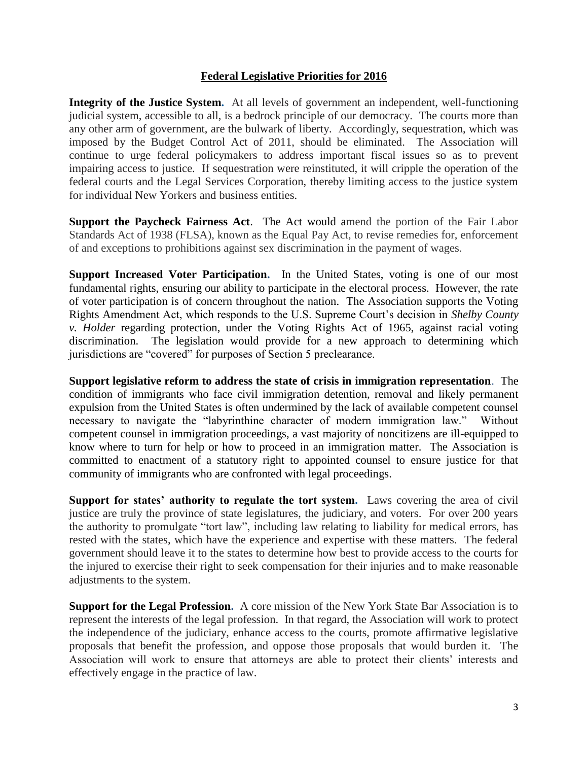## **Federal Legislative Priorities for 2016**

**Integrity of the Justice System.** At all levels of government an independent, well-functioning judicial system, accessible to all, is a bedrock principle of our democracy. The courts more than any other arm of government, are the bulwark of liberty. Accordingly, sequestration, which was imposed by the Budget Control Act of 2011, should be eliminated. The Association will continue to urge federal policymakers to address important fiscal issues so as to prevent impairing access to justice. If sequestration were reinstituted, it will cripple the operation of the federal courts and the Legal Services Corporation, thereby limiting access to the justice system for individual New Yorkers and business entities.

**Support the Paycheck Fairness Act**. The Act would amend the portion of the Fair Labor Standards Act of 1938 (FLSA), known as the Equal Pay Act, to revise remedies for, enforcement of and exceptions to prohibitions against sex discrimination in the payment of wages.

**Support Increased Voter Participation.** In the United States, voting is one of our most fundamental rights, ensuring our ability to participate in the electoral process. However, the rate of voter participation is of concern throughout the nation. The Association supports the Voting Rights Amendment Act, which responds to the U.S. Supreme Court's decision in *Shelby County v. Holder* regarding protection, under the Voting Rights Act of 1965, against racial voting discrimination. The legislation would provide for a new approach to determining which jurisdictions are "covered" for purposes of Section 5 preclearance.

**Support legislative reform to address the state of crisis in immigration representation**. The condition of immigrants who face civil immigration detention, removal and likely permanent expulsion from the United States is often undermined by the lack of available competent counsel necessary to navigate the "labyrinthine character of modern immigration law." Without competent counsel in immigration proceedings, a vast majority of noncitizens are ill-equipped to know where to turn for help or how to proceed in an immigration matter. The Association is committed to enactment of a statutory right to appointed counsel to ensure justice for that community of immigrants who are confronted with legal proceedings.

**Support for states' authority to regulate the tort system.** Laws covering the area of civil justice are truly the province of state legislatures, the judiciary, and voters. For over 200 years the authority to promulgate "tort law", including law relating to liability for medical errors, has rested with the states, which have the experience and expertise with these matters. The federal government should leave it to the states to determine how best to provide access to the courts for the injured to exercise their right to seek compensation for their injuries and to make reasonable adjustments to the system.

**Support for the Legal Profession.** A core mission of the New York State Bar Association is to represent the interests of the legal profession. In that regard, the Association will work to protect the independence of the judiciary, enhance access to the courts, promote affirmative legislative proposals that benefit the profession, and oppose those proposals that would burden it. The Association will work to ensure that attorneys are able to protect their clients' interests and effectively engage in the practice of law.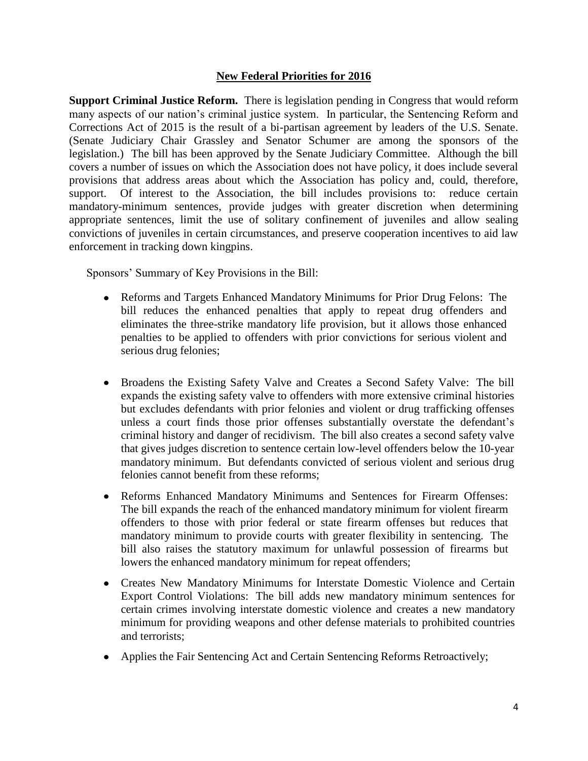## **New Federal Priorities for 2016**

**Support Criminal Justice Reform.** There is legislation pending in Congress that would reform many aspects of our nation's criminal justice system. In particular, the Sentencing Reform and Corrections Act of 2015 is the result of a bi-partisan agreement by leaders of the U.S. Senate. (Senate Judiciary Chair Grassley and Senator Schumer are among the sponsors of the legislation.) The bill has been approved by the Senate Judiciary Committee. Although the bill covers a number of issues on which the Association does not have policy, it does include several provisions that address areas about which the Association has policy and, could, therefore, support. Of interest to the Association, the bill includes provisions to: reduce certain mandatory-minimum sentences, provide judges with greater discretion when determining appropriate sentences, limit the use of solitary confinement of juveniles and allow sealing convictions of juveniles in certain circumstances, and preserve cooperation incentives to aid law enforcement in tracking down kingpins.

Sponsors' Summary of Key Provisions in the Bill:

- Reforms and Targets Enhanced Mandatory Minimums for Prior Drug Felons: The bill reduces the enhanced penalties that apply to repeat drug offenders and eliminates the three-strike mandatory life provision, but it allows those enhanced penalties to be applied to offenders with prior convictions for serious violent and serious drug felonies;
- Broadens the Existing Safety Valve and Creates a Second Safety Valve: The bill expands the existing safety valve to offenders with more extensive criminal histories but excludes defendants with prior felonies and violent or drug trafficking offenses unless a court finds those prior offenses substantially overstate the defendant's criminal history and danger of recidivism. The bill also creates a second safety valve that gives judges discretion to sentence certain low-level offenders below the 10-year mandatory minimum. But defendants convicted of serious violent and serious drug felonies cannot benefit from these reforms;
- Reforms Enhanced Mandatory Minimums and Sentences for Firearm Offenses: The bill expands the reach of the enhanced mandatory minimum for violent firearm offenders to those with prior federal or state firearm offenses but reduces that mandatory minimum to provide courts with greater flexibility in sentencing. The bill also raises the statutory maximum for unlawful possession of firearms but lowers the enhanced mandatory minimum for repeat offenders;
- Creates New Mandatory Minimums for Interstate Domestic Violence and Certain Export Control Violations: The bill adds new mandatory minimum sentences for certain crimes involving interstate domestic violence and creates a new mandatory minimum for providing weapons and other defense materials to prohibited countries and terrorists;
- Applies the Fair Sentencing Act and Certain Sentencing Reforms Retroactively;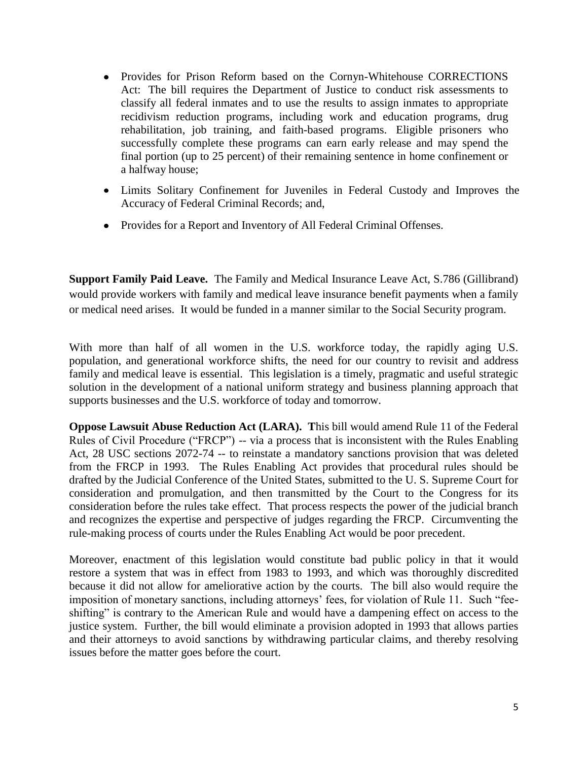- Provides for Prison Reform based on the Cornyn-Whitehouse CORRECTIONS Act: The bill requires the Department of Justice to conduct risk assessments to classify all federal inmates and to use the results to assign inmates to appropriate recidivism reduction programs, including work and education programs, drug rehabilitation, job training, and faith-based programs. Eligible prisoners who successfully complete these programs can earn early release and may spend the final portion (up to 25 percent) of their remaining sentence in home confinement or a halfway house;
- Limits Solitary Confinement for Juveniles in Federal Custody and Improves the Accuracy of Federal Criminal Records; and,
- Provides for a Report and Inventory of All Federal Criminal Offenses.

**Support Family Paid Leave.** The Family and Medical Insurance Leave Act, S.786 (Gillibrand) would provide workers with family and medical leave insurance benefit payments when a family or medical need arises. It would be funded in a manner similar to the Social Security program.

With more than half of all women in the U.S. workforce today, the rapidly aging U.S. population, and generational workforce shifts, the need for our country to revisit and address family and medical leave is essential. This legislation is a timely, pragmatic and useful strategic solution in the development of a national uniform strategy and business planning approach that supports businesses and the U.S. workforce of today and tomorrow.

**Oppose Lawsuit Abuse Reduction Act (LARA). T**his bill would amend Rule 11 of the Federal Rules of Civil Procedure ("FRCP") -- via a process that is inconsistent with the Rules Enabling Act, 28 USC sections 2072-74 -- to reinstate a mandatory sanctions provision that was deleted from the FRCP in 1993. The Rules Enabling Act provides that procedural rules should be drafted by the Judicial Conference of the United States, submitted to the U. S. Supreme Court for consideration and promulgation, and then transmitted by the Court to the Congress for its consideration before the rules take effect. That process respects the power of the judicial branch and recognizes the expertise and perspective of judges regarding the FRCP. Circumventing the rule-making process of courts under the Rules Enabling Act would be poor precedent.

Moreover, enactment of this legislation would constitute bad public policy in that it would restore a system that was in effect from 1983 to 1993, and which was thoroughly discredited because it did not allow for ameliorative action by the courts. The bill also would require the imposition of monetary sanctions, including attorneys' fees, for violation of Rule 11. Such "feeshifting" is contrary to the American Rule and would have a dampening effect on access to the justice system. Further, the bill would eliminate a provision adopted in 1993 that allows parties and their attorneys to avoid sanctions by withdrawing particular claims, and thereby resolving issues before the matter goes before the court.